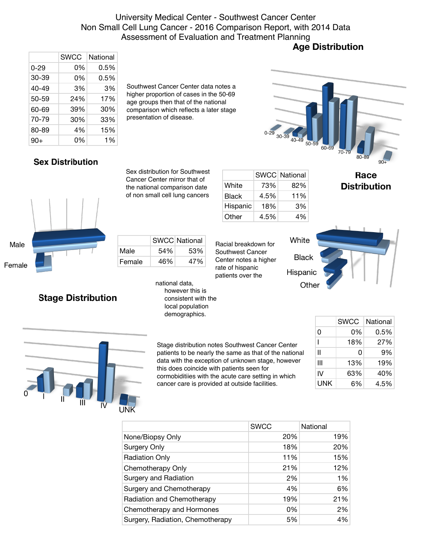# University Medical Center - Southwest Cancer Center Non Small Cell Lung Cancer - 2016 Comparison Report, with 2014 Data Assessment of Evaluation and Treatment Planning<br>**Age Distribution**

|          | <b>SWCC</b> | National |
|----------|-------------|----------|
| $0 - 29$ | 0%          | 0.5%     |
| 30-39    | 0%          | 0.5%     |
| 40-49    | 3%          | 3%       |
| 50-59    | 24%         | 17%      |
| 60-69    | 39%         | 30%      |
| 70-79    | 30%         | 33%      |
| 80-89    | 4%          | 15%      |
| $90+$    | 0%          | 1%       |

Southwest Cancer Center data notes a higher proportion of cases in the 50-69 age groups then that of the national comparison which reflects a later stage presentation of disease.

# $30-3$

### **Sex Distribution**

Sex distribution for Southwest Cancer Center mirror that of the national comparison date of non small cell lung cancers

| Male   |  |  | ľ |
|--------|--|--|---|
| Female |  |  | ŀ |

# SWCC National Male 54% 53% Female 46% 47%

# **Stage Distribution**

national data, however this is consistent with the local population demographics.

|              |      | <b>SWCC National</b> |
|--------------|------|----------------------|
| White        | 73%  | 82%                  |
| <b>Black</b> | 4.5% | 11%                  |
| Hispanic     | 18%  | 3%                   |
| Other        | 4.5% | 4%                   |

# **Distribution**

Race

Racial breakdown for Southwest Cancer Center notes a higher rate of hispanic patients over the



|     | SWCC | National |
|-----|------|----------|
| 0   | 0%   | 0.5%     |
|     | 18%  | 27%      |
| Ш   | 0    | 9%       |
| Ш   | 13%  | 19%      |
| IV  | 63%  | 40%      |
| UNK | 6%   | 4.5%     |



|                                  | <b>SWCC</b> | National |
|----------------------------------|-------------|----------|
| None/Biopsy Only                 | 20%         | 19%      |
| Surgery Only                     | 18%         | 20%      |
| <b>Radiation Only</b>            | 11%         | 15%      |
| Chemotherapy Only                | 21%         | 12%      |
| Surgery and Radiation            | 2%          | 1%       |
| Surgery and Chemotherapy         | 4%          | 6%       |
| Radiation and Chemotherapy       | 19%         | 21%      |
| Chemotherapy and Hormones        | 0%          | 2%       |
| Surgery, Radiation, Chemotherapy | 5%          | 4%       |
|                                  |             |          |

Stage distribution notes Southwest Cancer Center patients to be nearly the same as that of the national data with the exception of unknown stage, however

cormobiditiies with the acute care setting in which cancer care is provided at outside facilities.

this does coincide with patients seen for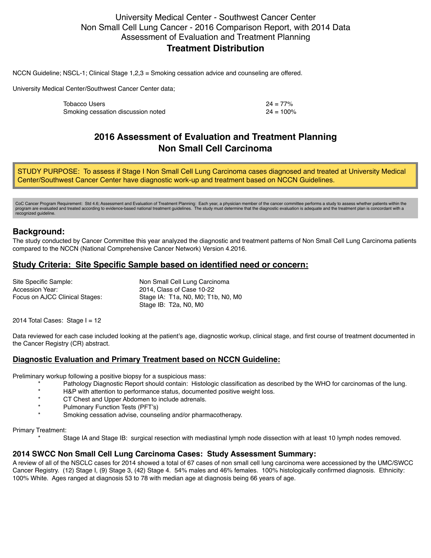#### University Medical Center - Southwest Cancer Center Non Small Cell Lung Cancer - 2016 Comparison Report, with 2014 Data Assessment of Evaluation and Treatment Planning **Treatment Distribution**

NCCN Guideline; NSCL-1; Clinical Stage 1,2,3 = Smoking cessation advice and counseling are offered.

University Medical Center/Southwest Cancer Center data;

| Tobacco Users                      | $24 = 77\%$  |
|------------------------------------|--------------|
| Smoking cessation discussion noted | $24 = 100\%$ |

# **2016 Assessment of Evaluation and Treatment Planning Non Small Cell Carcinoma**

STUDY PURPOSE: To assess if Stage I Non Small Cell Lung Carcinoma cases diagnosed and treated at University Medical Center/Southwest Cancer Center have diagnostic work-up and treatment based on NCCN Guidelines.

CoC Cancer Program Requirement: Std 4.6; Assessment and Evaluation of Treatment Planning: Each year, a physician member of the cancer committee performs a study to assess whether patients within the<br>program are evaluated a recognized guideline.

#### **Background:**

The study conducted by Cancer Committee this year analyzed the diagnostic and treatment patterns of Non Small Cell Lung Carcinoma patients compared to the NCCN (National Comprehensive Cancer Network) Version 4.2016.

#### **Study Criteria: Site Specific Sample based on identified need or concern:**

Site Specific Sample: Non Small Cell Lung Carcinoma Accession Year: 2014, Class of Case 10-22 Focus on AJCC Clinical Stages: Stage IA: T1a, N0, M0; T1b, N0, M0 Stage IB: T2a, N0, M0

2014 Total Cases: Stage  $I = 12$ 

Data reviewed for each case included looking at the patient's age, diagnostic workup, clinical stage, and first course of treatment documented in the Cancer Registry (CR) abstract.

#### **Diagnostic Evaluation and Primary Treatment based on NCCN Guideline:**

Preliminary workup following a positive biopsy for a suspicious mass:

- Pathology Diagnostic Report should contain: Histologic classification as described by the WHO for carcinomas of the lung.
- \* H&P with attention to performance status, documented positive weight loss.
- CT Chest and Upper Abdomen to include adrenals.
- Pulmonary Function Tests (PFT's)
- Smoking cessation advise, counseling and/or pharmacotherapy.

#### Primary Treatment:

Stage IA and Stage IB: surgical resection with mediastinal lymph node dissection with at least 10 lymph nodes removed.

#### **2014 SWCC Non Small Cell Lung Carcinoma Cases: Study Assessment Summary:**

A review of all of the NSCLC cases for 2014 showed a total of 67 cases of non small cell lung carcinoma were accessioned by the UMC/SWCC Cancer Registry. (12) Stage I, (9) Stage 3, (42) Stage 4. 54% males and 46% females. 100% histologically confirmed diagnosis. Ethnicity: 100% White. Ages ranged at diagnosis 53 to 78 with median age at diagnosis being 66 years of age.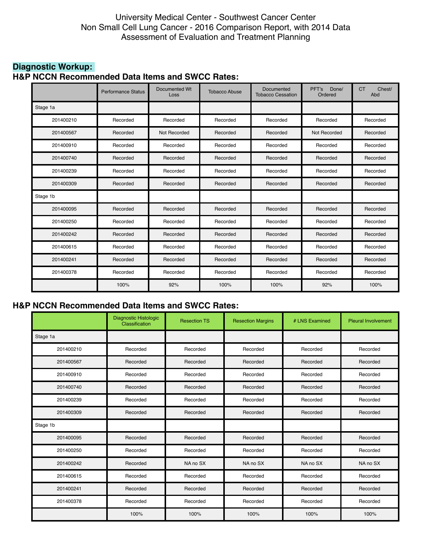#### University Medical Center - Southwest Cancer Center Non Small Cell Lung Cancer - 2016 Comparison Report, with 2014 Data Assessment of Evaluation and Treatment Planning

#### **Diagnostic Workup: H&P NCCN Recommended Data Items and SWCC Rates:**

|           | <b>Performance Status</b> | <b>Documented Wt</b><br>Loss | <b>Tobacco Abuse</b> | Documented<br><b>Tobacco Cessation</b> | Done/<br>PFT's<br>Ordered | Chest/<br><b>CT</b><br>Abd |
|-----------|---------------------------|------------------------------|----------------------|----------------------------------------|---------------------------|----------------------------|
| Stage 1a  |                           |                              |                      |                                        |                           |                            |
| 201400210 | Recorded                  | Recorded                     | Recorded             | Recorded                               | Recorded                  | Recorded                   |
| 201400567 | Recorded                  | Not Recorded                 | Recorded             | Recorded                               | Not Recorded              | Recorded                   |
| 201400910 | Recorded                  | Recorded                     | Recorded             | Recorded                               | Recorded                  | Recorded                   |
| 201400740 | Recorded                  | Recorded                     | Recorded             | Recorded                               | Recorded                  | Recorded                   |
| 201400239 | Recorded                  | Recorded                     | Recorded             | Recorded                               | Recorded                  | Recorded                   |
| 201400309 | Recorded                  | Recorded                     | Recorded             | Recorded                               | Recorded                  | Recorded                   |
| Stage 1b  |                           |                              |                      |                                        |                           |                            |
| 201400095 | Recorded                  | Recorded                     | Recorded             | Recorded                               | Recorded                  | Recorded                   |
| 201400250 | Recorded                  | Recorded                     | Recorded             | Recorded                               | Recorded                  | Recorded                   |
| 201400242 | Recorded                  | Recorded                     | Recorded             | Recorded                               | Recorded                  | Recorded                   |
| 201400615 | Recorded                  | Recorded                     | Recorded             | Recorded                               | Recorded                  | Recorded                   |
| 201400241 | Recorded                  | Recorded                     | Recorded             | Recorded                               | Recorded                  | Recorded                   |
| 201400378 | Recorded                  | Recorded                     | Recorded             | Recorded                               | Recorded                  | Recorded                   |
|           | 100%                      | 92%                          | 100%                 | 100%                                   | 92%                       | 100%                       |

# **H&P NCCN Recommended Data Items and SWCC Rates:**

|           | Diagnostic Histologic<br>Classification | <b>Resection TS</b> | <b>Resection Margins</b> | # LNS Examined | <b>Pleural Involvement</b> |
|-----------|-----------------------------------------|---------------------|--------------------------|----------------|----------------------------|
| Stage 1a  |                                         |                     |                          |                |                            |
| 201400210 | Recorded                                | Recorded            | Recorded                 | Recorded       | Recorded                   |
| 201400567 | Recorded                                | Recorded            | Recorded                 | Recorded       | Recorded                   |
| 201400910 | Recorded                                | Recorded            | Recorded                 | Recorded       | Recorded                   |
| 201400740 | Recorded                                | Recorded            | Recorded                 | Recorded       | Recorded                   |
| 201400239 | Recorded                                | Recorded            | Recorded                 | Recorded       | Recorded                   |
| 201400309 | Recorded                                | Recorded            | Recorded                 | Recorded       | Recorded                   |
| Stage 1b  |                                         |                     |                          |                |                            |
| 201400095 | Recorded                                | Recorded            | Recorded                 | Recorded       | Recorded                   |
| 201400250 | Recorded                                | Recorded            | Recorded                 | Recorded       | Recorded                   |
| 201400242 | Recorded                                | NA no SX            | NA no SX                 | NA no SX       | NA <sub>no</sub> SX        |
| 201400615 | Recorded                                | Recorded            | Recorded                 | Recorded       | Recorded                   |
| 201400241 | Recorded                                | Recorded            | Recorded                 | Recorded       | Recorded                   |
| 201400378 | Recorded                                | Recorded            | Recorded                 | Recorded       | Recorded                   |
|           | 100%                                    | 100%                | 100%                     | 100%           | 100%                       |